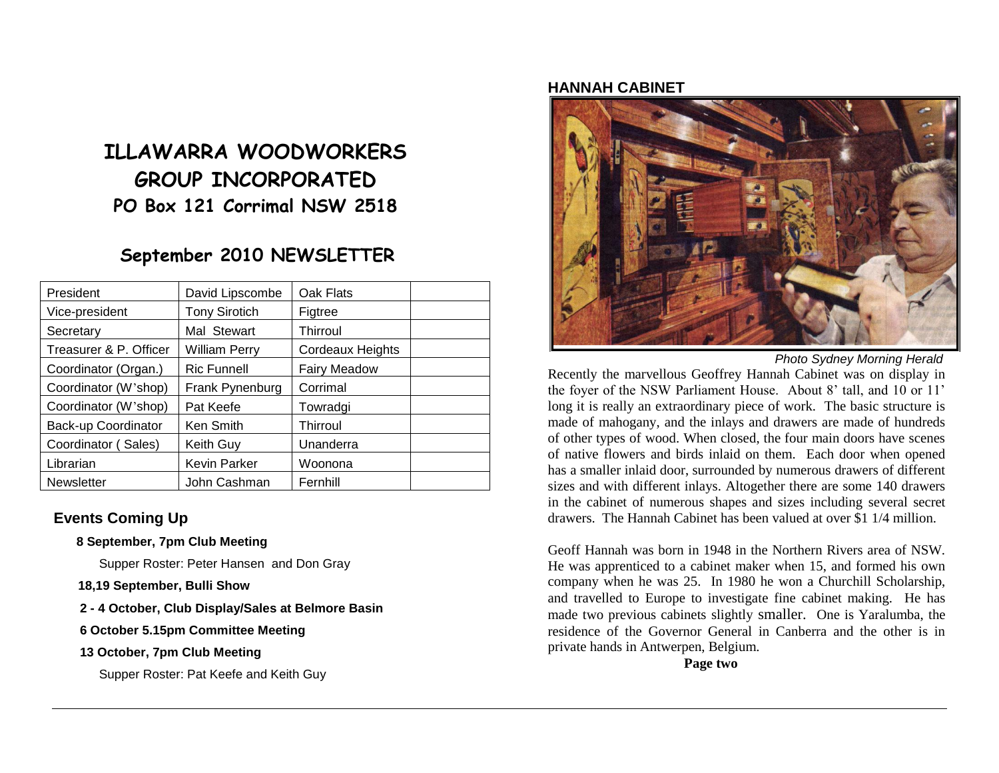# **ILLAWARRA WOODWORKERS GROUP INCORPORATED PO Box 121 Corrimal NSW 2518**

## **September 2010 NEWSLETTER**

| President              | David Lipscombe      | Oak Flats               |  |
|------------------------|----------------------|-------------------------|--|
| Vice-president         | <b>Tony Sirotich</b> | Figtree                 |  |
| Secretary              | Mal Stewart          | Thirroul                |  |
| Treasurer & P. Officer | William Perry        | <b>Cordeaux Heights</b> |  |
| Coordinator (Organ.)   | <b>Ric Funnell</b>   | <b>Fairy Meadow</b>     |  |
| Coordinator (W'shop)   | Frank Pynenburg      | Corrimal                |  |
| Coordinator (W'shop)   | Pat Keefe            | Towradgi                |  |
| Back-up Coordinator    | <b>Ken Smith</b>     | Thirroul                |  |
| Coordinator (Sales)    | Keith Guy            | Unanderra               |  |
| Librarian              | <b>Kevin Parker</b>  | Woonona                 |  |
| <b>Newsletter</b>      | John Cashman         | Fernhill                |  |

### **Events Coming Up**

**8 September, 7pm Club Meeting**

Supper Roster: Peter Hansen and Don Gray

- **18,19 September, Bulli Show**
- **2 - 4 October, Club Display/Sales at Belmore Basin**
- **6 October 5.15pm Committee Meeting**
- **13 October, 7pm Club Meeting**

Supper Roster: Pat Keefe and Keith Guy

#### **HANNAH CABINET**



*Photo Sydney Morning Herald*

Recently the marvellous Geoffrey Hannah Cabinet was on display in the foyer of the NSW Parliament House. About 8' tall, and 10 or 11' long it is really an extraordinary piece of work. The basic structure is made of mahogany, and the inlays and drawers are made of hundreds of other types of wood. When closed, the four main doors have scenes of native flowers and birds inlaid on them. Each door when opened has a smaller inlaid door, surrounded by numerous drawers of different sizes and with different inlays. Altogether there are some 140 drawers in the cabinet of numerous shapes and sizes including several secret drawers. The Hannah Cabinet has been valued at over \$1 1/4 million.

Geoff Hannah was born in 1948 in the Northern Rivers area of NSW. He was apprenticed to a cabinet maker when 15, and formed his own company when he was 25. In 1980 he won a Churchill Scholarship, and travelled to Europe to investigate fine cabinet making. He has made two previous cabinets slightly smaller. One is Yaralumba, the residence of the Governor General in Canberra and the other is in private hands in Antwerpen, Belgium.

**Page two**